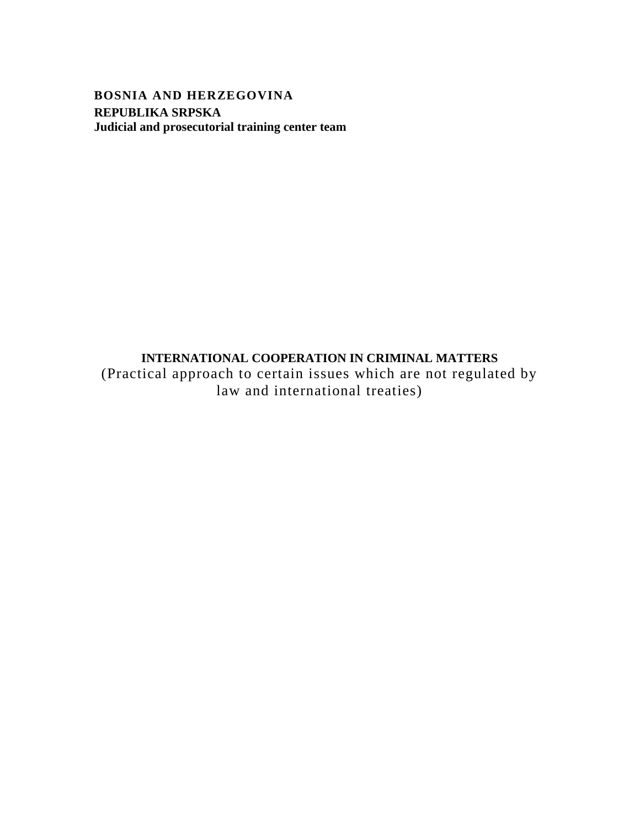<span id="page-0-0"></span>**BOSNIA AND HERZEGOVINA REPUBLIKA SRPSKA Judicial and prosecutorial training center team**

## <span id="page-0-1"></span>**INTERNATIONAL COOPERATION IN CRIMINAL MATTERS**

(Practical approach to certain issues which are not regulated by law and international treaties)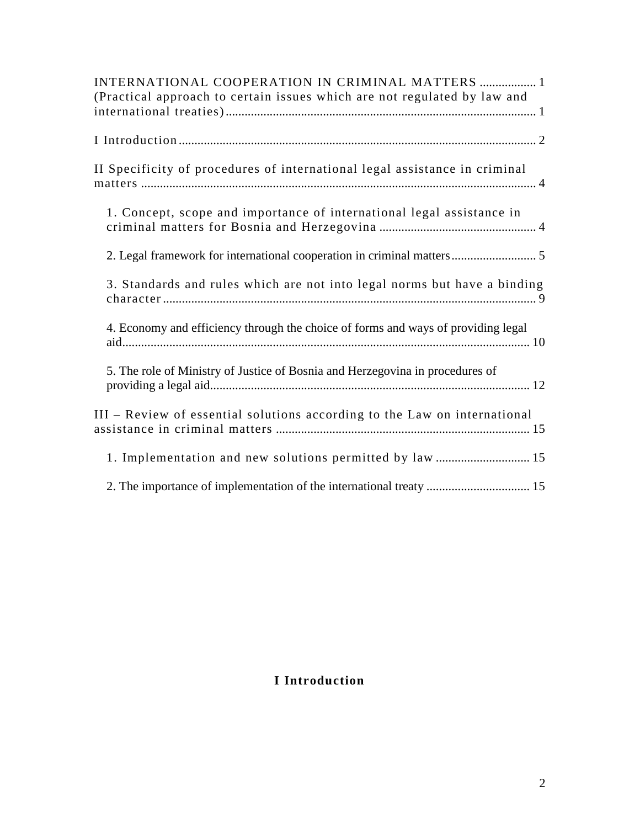| INTERNATIONAL COOPERATION IN CRIMINAL MATTERS  1<br>(Practical approach to certain issues which are not regulated by law and |
|------------------------------------------------------------------------------------------------------------------------------|
|                                                                                                                              |
| II Specificity of procedures of international legal assistance in criminal                                                   |
| 1. Concept, scope and importance of international legal assistance in                                                        |
| 2. Legal framework for international cooperation in criminal matters 5                                                       |
| 3. Standards and rules which are not into legal norms but have a binding                                                     |
| 4. Economy and efficiency through the choice of forms and ways of providing legal                                            |
| 5. The role of Ministry of Justice of Bosnia and Herzegovina in procedures of                                                |
| III - Review of essential solutions according to the Law on international                                                    |
| 1. Implementation and new solutions permitted by law  15                                                                     |
|                                                                                                                              |

# <span id="page-1-0"></span>**I Introduction**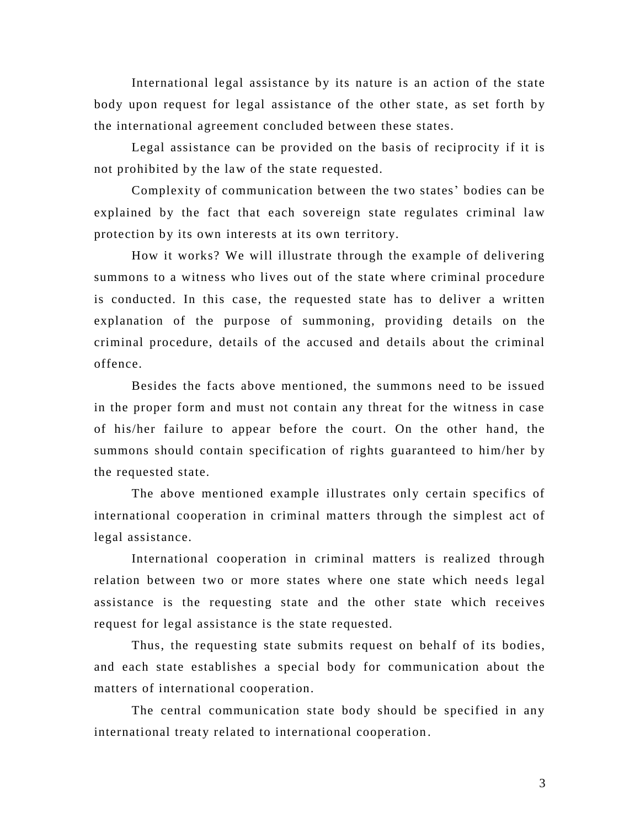International legal assistance by its nature is an action of the state body upon request for legal assistance of the other state, as set forth by the international agreement concluded between these states.

Legal assistance can be provided on the basis of reciprocity if it is not prohibited by the law of the state requested.

Complexity of communication between the two states' bodies can be explained by the fact that each sovereign state regulates criminal law protection by its own interests at its own territory.

How it works? We will illustrate through the example of delivering summons to a witness who lives out of the state where criminal procedure is conducted. In this case, the requested state has to deliver a written explanation of the purpose of summoning, providing details on the criminal procedure, details of the accused and details about the criminal offence.

Besides the facts above mentioned, the summons need to be issued in the proper form and must not contain any threat for the witness in case of his/her failure to appear before the court. On the other hand, the summons should contain specification of rights guaranteed to him/her by the requested state.

The above mentioned example illustrates only certain specifics of international cooperation in criminal matters through the simplest act of legal assistance.

International cooperation in criminal matters is realized through relation between two or more states where one state which needs legal assistance is the requesting state and the other state which receives request for legal assistance is the state requested.

Thus, the requesting state submits request on behalf of its bodies, and each state establishes a special body for communication about the matters of international cooperation.

The central communication state body should be specified in any international treaty related to international cooperation .

3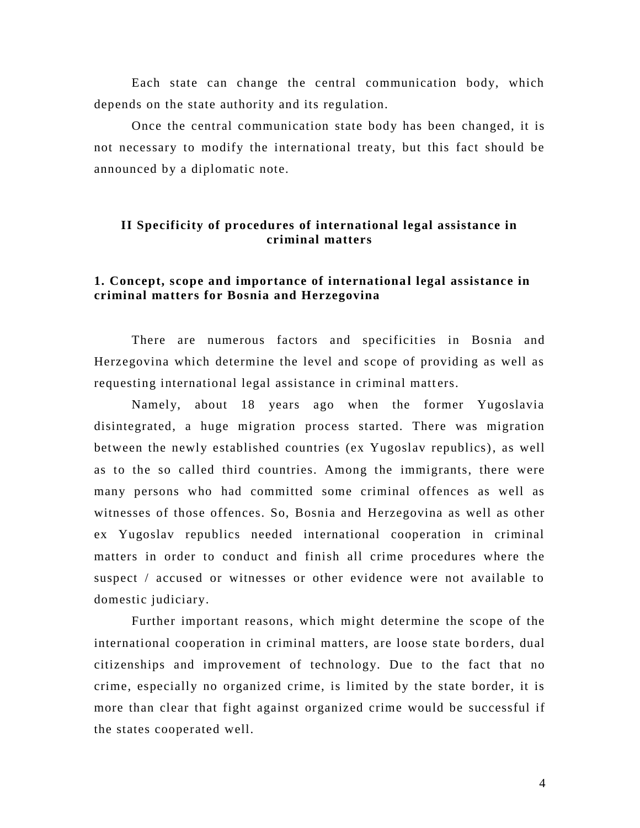Each state can change the central communication body, which depends on the state authority and its regulation.

Once the central communication state body has been changed, it is not necessary to modify the international treaty, but this fact should be announced by a diplomatic note.

## <span id="page-3-0"></span>**II Specificity of procedures of international legal assistance in criminal matters**

### <span id="page-3-1"></span>**1. Concept, scope and importance of internationa l legal assistance in criminal matters for Bosnia and Herzegovina**

There are numerous factors and specificities in Bosnia and Herzegovina which determine the level and scope of providing as well as requesting international legal assistance in criminal matters.

Namely, about 18 years ago when the former Yugoslavia disintegrated, a huge migration process started. There was migration between the newly established countries (ex Yugoslav republics), as well as to the so called third countries. Among the immigrants, there were many persons who had committed some criminal offences as well as witnesses of those offences. So, Bosnia and Herzegovina as well as other ex Yugoslav republics needed international cooperation in criminal matters in order to conduct and finish all crime procedures where the suspect / accused or witnesses or other evidence were not available to domestic judiciary.

Further important reasons, which might determine the scope of the international cooperation in criminal matters, are loose state bo rders, dual citizenships and improvement of technology. Due to the fact that no crime, especially no organized crime, is limited by the state border, it is more than clear that fight against organized crime would be successful if the states cooperated well.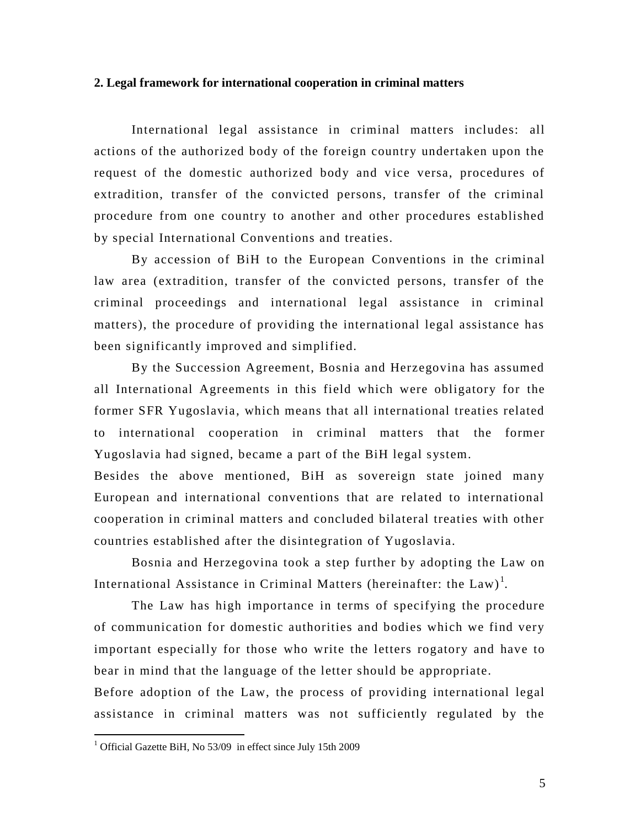#### <span id="page-4-0"></span>**2. Legal framework for international cooperation in criminal matters**

International legal assistance in criminal matters includes: all actions of the authorized body of the foreign country undertaken upon the request of the domestic authorized body and vice versa, procedures of extradition, transfer of the convicted persons, transfer of the criminal procedure from one country to another and other procedures established by special International Conventions and treaties.

By accession of BiH to the European Conventions in the criminal law area (extradition, transfer of the convicted persons, transfer of the criminal proceedings and international legal assistance in criminal matters), the procedure of providing the international legal assistance has been significantly improved and simplified.

By the Succession Agreement, Bosnia and Herzegovina has assumed all International Agreements in this field which were obligatory for the former SFR Yugoslavia, which means that all international treaties related to international cooperation in criminal matters that the former Yugoslavia had signed, became a part of the BiH legal system.

Besides the above mentioned, BiH as sovereign state joined many European and international conventions that are related to international cooperation in criminal matters and concluded bilateral treaties with other countries established after the disintegration of Yugoslavia.

Bosnia and Herzegovina took a step further by adopting the Law on International Assistance in Criminal Matters (hereinafter: the  $\text{Law})^1$ .

The Law has high importance in terms of specifying the procedure of communication for domestic authorities and bodies which we find very important especially for those who write the letters rogatory and have to bear in mind that the language of the letter should be appropriate.

Before adoption of the Law, the process of providing international legal assistance in criminal matters was not sufficiently regulated by the

 $\overline{a}$ 

<sup>&</sup>lt;sup>1</sup> Official Gazette BiH, No 53/09 in effect since July 15th 2009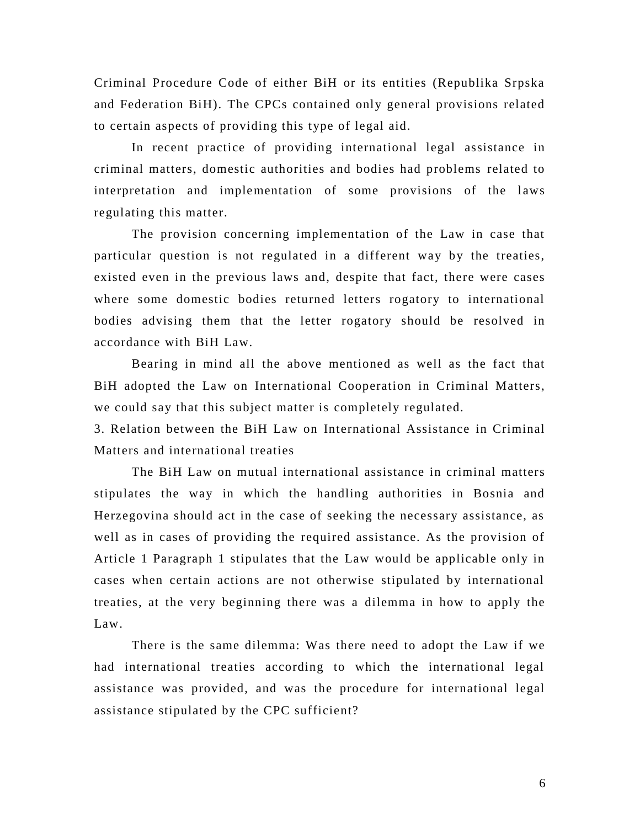Criminal Procedure Code of either BiH or its entities (Republika Srpska and Federation BiH). The CPCs contained only general provisions related to certain aspects of providing this type of legal aid.

In recent practice of providing international legal assistance in criminal matters, domestic authorities and bodies had problems related to interpretation and implementation of some provisions of the laws regulating this matter.

The provision concerning implementation of the Law in case that particular question is not regulated in a different way by the treaties, existed even in the previous laws and, despite that fact, there were cases where some domestic bodies returned letters rogatory to international bodies advising them that the letter rogatory should be resolved in accordance with BiH Law.

Bearing in mind all the above mentioned as well as the fact that BiH adopted the Law on International Cooperation in Criminal Matters, we could say that this subject matter is completely regulated.

3. Relation between the BiH Law on International Assistance in Criminal Matters and international treaties

The BiH Law on mutual international assistance in criminal matters stipulates the way in which the handling authorities in Bosnia and Herzegovina should act in the case of seeking the necessary assistance, as well as in cases of providing the required assistance. As the provision of Article 1 Paragraph 1 stipulates that the Law would be applicable only in cases when certain actions are not otherwise stipulated by international treaties, at the very beginning there was a dilemma in how to apply the Law.

There is the same dilemma: Was there need to adopt the Law if we had international treaties according to which the international legal assistance was provided, and was the procedure for international legal assistance stipulated by the CPC sufficient?

6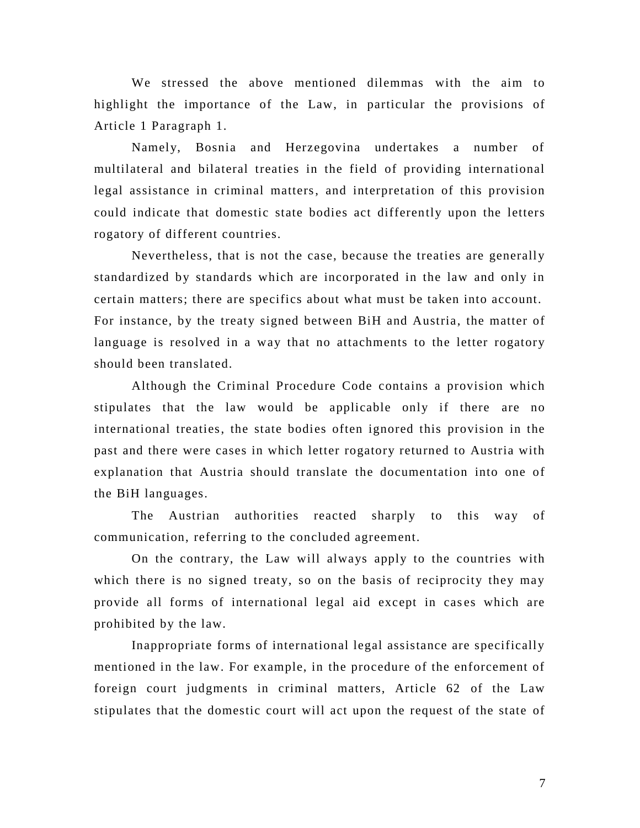We stressed the above mentioned dilemmas with the aim to highlight the importance of the Law, in particular the provisions of Article 1 Paragraph 1.

Namely, Bosnia and Herzegovina undertakes a number of multilateral and bilateral treaties in the field of providing international legal assistance in criminal matters, and interpretation of this provision could indicate that domestic state bodies act differently upon the letters rogatory of different countries.

Nevertheless, that is not the case, because the treaties are generally standardized by standards which are incorporated in the law and only in certain matters; there are specifics about what must be taken into account. For instance, by the treaty signed between BiH and Austria, the matter of language is resolved in a way that no attachments to the letter rogatory should been translated.

Although the Criminal Procedure Code contains a provision which stipulates that the law would be applicable only if there are no international treaties, the state bodies often ignored this provision in the past and there were cases in which letter rogatory returned to Austria with explanation that Austria should translate the documentation into one of the BiH languages.

The Austrian authorities reacted sharply to this way of communication, referring to the concluded agreement.

On the contrary, the Law will always apply to the countries with which there is no signed treaty, so on the basis of reciprocity they may provide all forms of international legal aid except in cases which are prohibited by the law.

Inappropriate forms of international legal assistance are specifically mentioned in the law. For example, in the procedure of the enforcement of foreign court judgments in criminal matters, Article 62 of the Law stipulates that the domestic court will act upon the request of the state of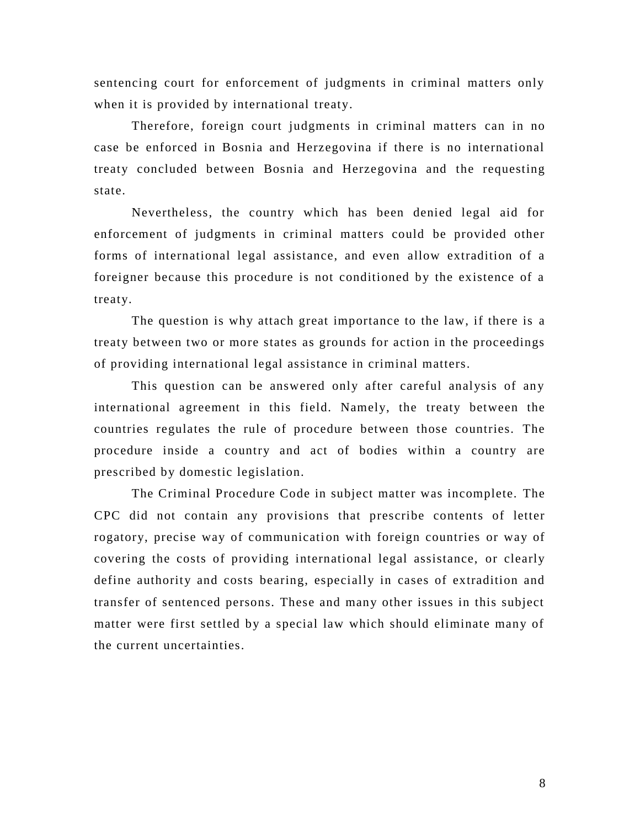sentencing court for enforcement of judgments in criminal matters only when it is provided by international treaty.

Therefore, foreign court judgments in criminal matters can in no case be enforced in Bosnia and Herzegovina if there is no international treaty concluded between Bosnia and Herzegovina and the requesting state.

Nevertheless, the country which has been denied legal aid for enforcement of judgments in criminal matters could be provided other forms of international legal assistance, and even allow extradition of a foreigner because this procedure is not conditioned by the existence of a treaty.

The question is why attach great importance to the law, if there is a treaty between two or more states as grounds for action in the proceedings of providing international legal assistance in criminal matters.

This question can be answered only after careful analysis of any international agreement in this field. Namely, the treaty between the countries regulates the rule of procedure between those countries. The procedure inside a country and act of bodies within a country are prescribed by domestic legislation.

The Criminal Procedure Code in subject matter was incomplete. The CPC did not contain any provisions that prescribe contents of letter rogatory, precise way of communication with foreign countries or way of covering the costs of providing international legal assistance, or clearly define authority and costs bearing, especially in cases of extradition and transfer of sentenced persons. These and many other issues in this subject matter were first settled by a special law which should eliminate many of the current uncertainties.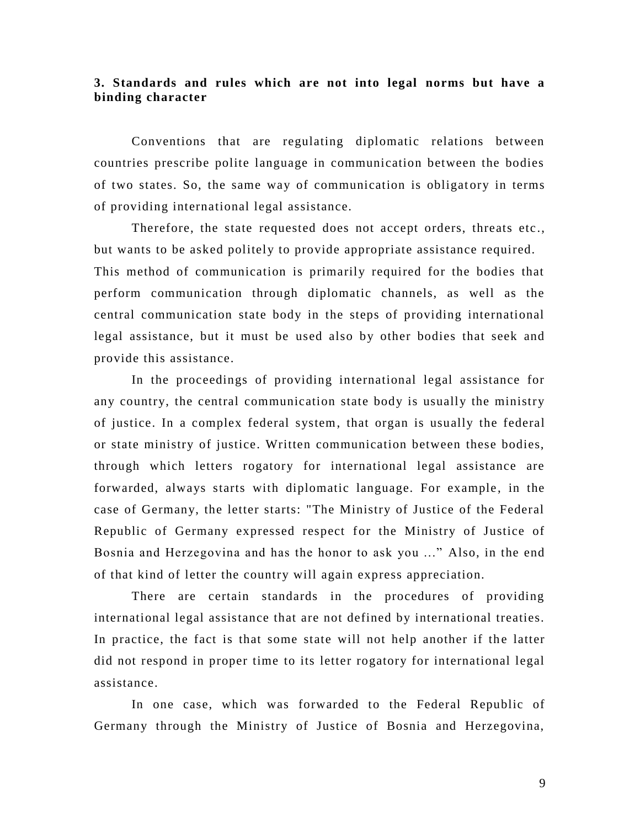#### <span id="page-8-0"></span>**3. Standards and rules which are not into legal norms but have a binding character**

Conventions that are regulating diplomatic relations between countries prescribe polite language in communication between the bodies of two states. So, the same way of communication is obligatory in terms of providing international legal assistance.

Therefore, the state requested does not accept orders, threats etc., but wants to be asked politely to provide appropriate assistance required. This method of communication is primarily required for the bodies that perform communication through diplomatic channels, as well as the central communication state body in the steps of providing international legal assistance, but it must be used also by other bodies that seek and provide this assistance.

In the proceedings of providing international legal assistance for any country, the central communication state body is usually the ministry of justice. In a complex federal system, that organ is usually the federal or state ministry of justice. Written communication between these bodies, through which letters rogatory for international legal assistance are forwarded, always starts with diplomatic language. For example, in the case of Germany, the letter starts: "The Ministry of Justice of the Federal Republic of Germany expressed respect for the Ministry of Justice of Bosnia and Herzegovina and has the honor to ask you ..." Also, in the end of that kind of letter the country will again express appreciation.

There are certain standards in the procedures of providing international legal assistance that are not defined by international treaties. In practice, the fact is that some state will not help another if the latter did not respond in proper time to its letter rogatory for international legal assistance.

In one case, which was forwarded to the Federal Republic of Germany through the Ministry of Justice of Bosnia and Herzegovina,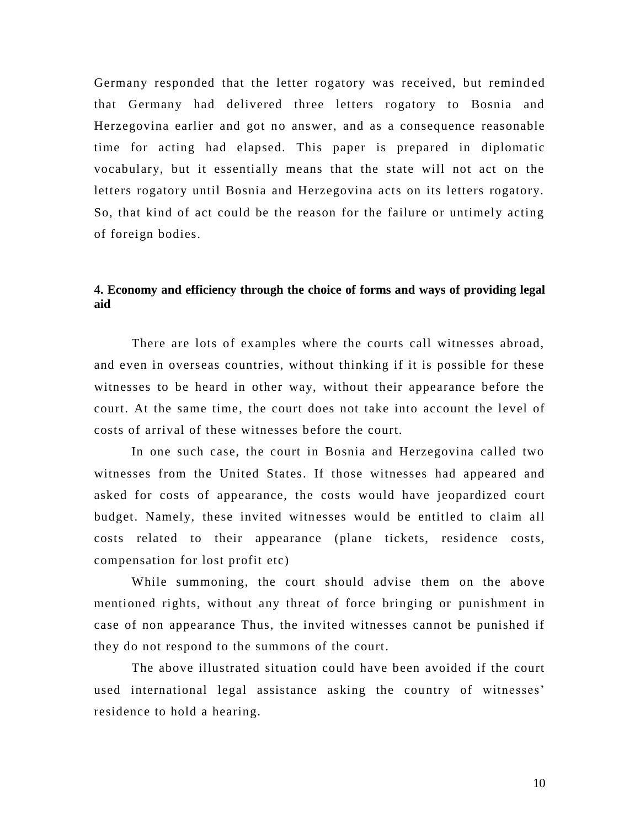Germany responded that the letter rogatory was received, but remind ed that Germany had delivered three letters rogatory to Bosnia and Herzegovina earlier and got no answer, and as a consequence reasonable time for acting had elapsed. This paper is prepared in diplomatic vocabulary, but it essentially means that the state will not act on the letters rogatory until Bosnia and Herzegovina acts on its letters rogatory. So, that kind of act could be the reason for the failure or untimely acting of foreign bodies.

## <span id="page-9-0"></span>**4. Economy and efficiency through the choice of forms and ways of providing legal aid**

There are lots of examples where the courts call witnesses abroad, and even in overseas countries, without thinking if it is possible for these witnesses to be heard in other way, without their appearance before the court. At the same time, the court does not take into account the level of costs of arrival of these witnesses before the court.

In one such case, the court in Bosnia and Herzegovina called two witnesses from the United States. If those witnesses had appeared and asked for costs of appearance, the costs would have jeopardized court budget. Namely, these invited witnesses would be entitled to claim all costs related to their appearance (plane tickets, residence costs, compensation for lost profit etc)

While summoning, the court should advise them on the above mentioned rights, without any threat of force bringing or punishment in case of non appearance Thus, the invited witnesses cannot be punished if they do not respond to the summons of the court.

The above illustrated situation could have been avoided if the court used international legal assistance asking the country of witnesses' residence to hold a hearing.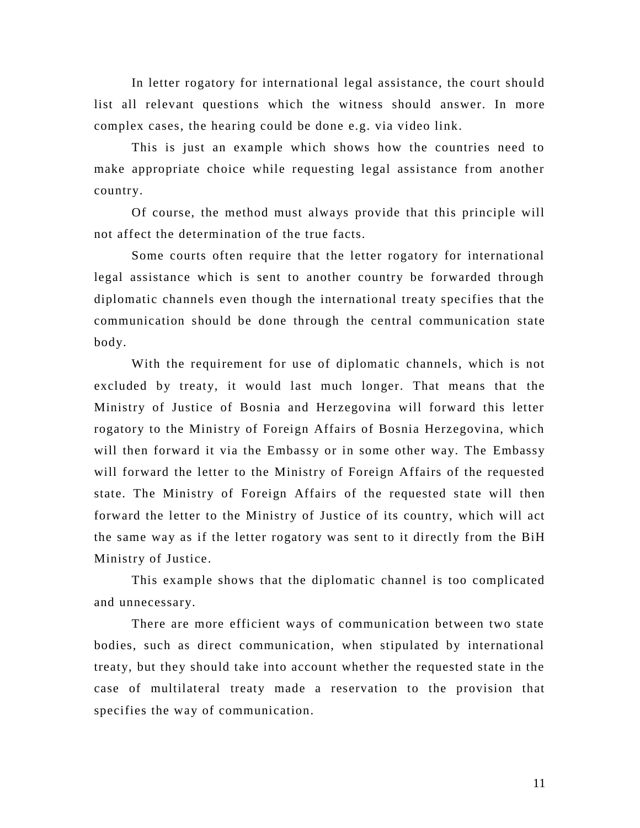In letter rogatory for international legal assistance, the court should list all relevant questions which the witness should answer. In more complex cases, the hearing could be done e.g. via video link.

This is just an example which shows how the countries need to make appropriate choice while requesting legal assistance from another country.

Of course, the method must always provide that this principle will not affect the determination of the true facts.

Some courts often require that the letter rogatory for international legal assistance which is sent to another country be forwarded through diplomatic channels even though the international treaty specifies that the communication should be done through the central communication state body.

With the requirement for use of diplomatic channels, which is not excluded by treaty, it would last much longer. That means that the Ministry of Justice of Bosnia and Herzegovina will forward this letter rogatory to the Ministry of Foreign Affairs of Bosnia Herzegovina, which will then forward it via the Embassy or in some other way. The Embassy will forward the letter to the Ministry of Foreign Affairs of the requested state. The Ministry of Foreign Affairs of the requested state will then forward the letter to the Ministry of Justice of its country, which will act the same way as if the letter rogatory was sent to it directly from the BiH Ministry of Justice.

This example shows that the diplomatic channel is too complicated and unnecessary.

There are more efficient ways of communication between two state bodies, such as direct communication, when stipulated by international treaty, but they should take into account whether the requested state in the case of multilateral treaty made a reservation to the provision that specifies the way of communication.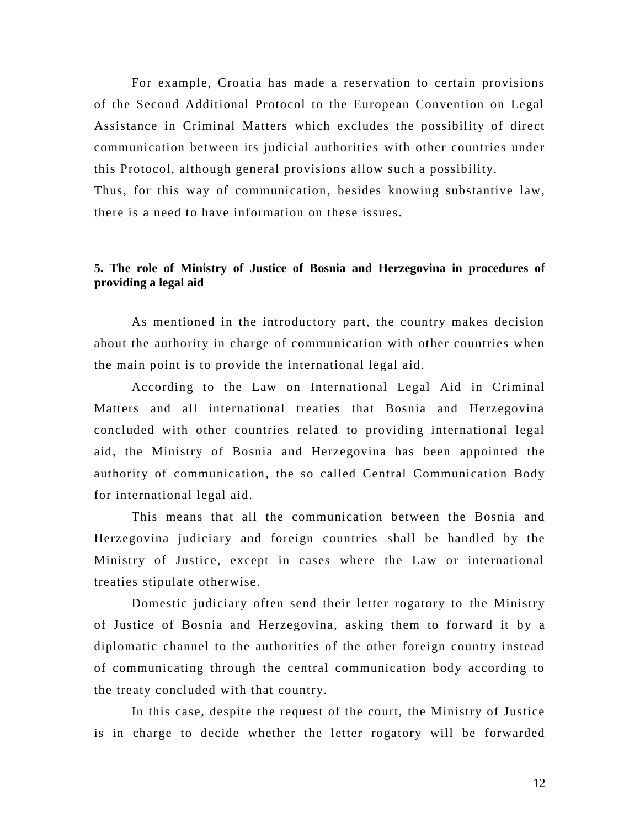For example, Croatia has made a reservation to certain provisions of the Second Additional Protocol to the European Convention on Legal Assistance in Criminal Matters which excludes the possibility of direct communication between its judicial authorities with other countries under this Protocol, although general provisions allow such a possibility.

Thus, for this way of communication, besides knowing substantive law, there is a need to have information on these issues.

### <span id="page-11-0"></span>**5. The role of Ministry of Justice of Bosnia and Herzegovina in procedures of providing a legal aid**

As mentioned in the introductory part, the country makes decision about the authority in charge of communication with other countries when the main point is to provide the international legal aid.

According to the Law on International Legal Aid in Criminal Matters and all international treaties that Bosnia and Herzegovina concluded with other countries related to providing international legal aid, the Ministry of Bosnia and Herzegovina has been appointed the authority of communication, the so called Central Communication Body for international legal aid.

This means that all the communication between the Bosnia and Herzegovina judiciary and foreign countries shall be handled by the Ministry of Justice, except in cases where the Law or international treaties stipulate otherwise.

Domestic judiciary often send their letter rogatory to the Ministry of Justice of Bosnia and Herzegovina, asking them to forward it by a diplomatic channel to the authorities of the other foreign country instead of communicating through the central communication body according to the treaty concluded with that country.

In this case, despite the request of the court, the Ministry of Justice is in charge to decide whether the letter rogatory will be forwarded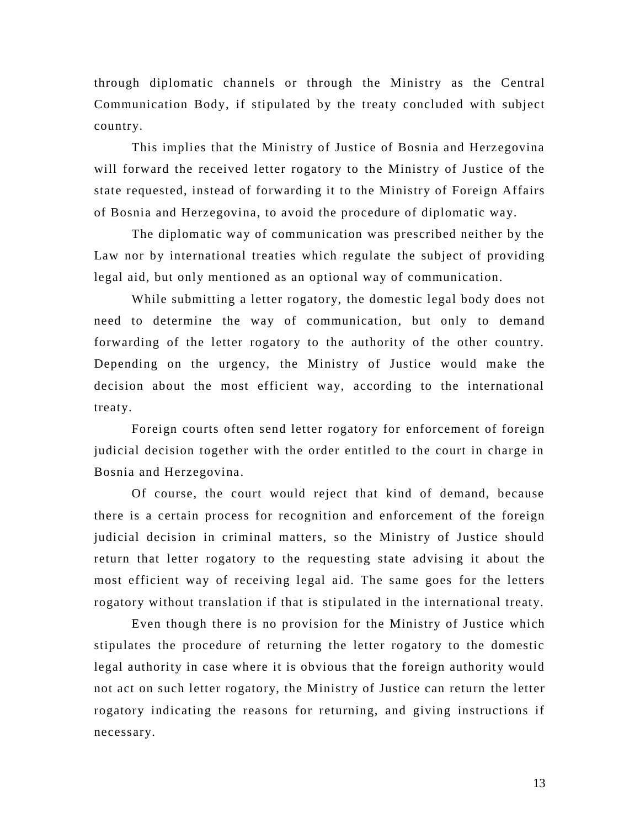through diplomatic channels or through the Ministry as the Central Communication Body, if stipulated by the treaty concluded with subject country.

This implies that the Ministry of Justice of Bosnia and Herzegovina will forward the received letter rogatory to the Ministry of Justice of the state requested, instead of forwarding it to the Ministry of Foreign Affairs of Bosnia and Herzegovina, to avoid the procedure of diplomatic way.

The diplomatic way of communication was prescribed neither by the Law nor by international treaties which regulate the subject of providing legal aid, but only mentioned as an optional way of communication.

While submitting a letter rogatory, the domestic legal body does not need to determine the way of communication, but only to demand forwarding of the letter rogatory to the authority of the other country. Depending on the urgency, the Ministry of Justice would make the decision about the most efficient way, according to the international treaty.

Foreign courts often send letter rogatory for enforcement of foreign judicial decision together with the order entitled to the court in charge in Bosnia and Herzegovina.

Of course, the court would reject that kind of demand, because there is a certain process for recognition and enforcement of the foreign judicial decision in criminal matters, so the Ministry of Justice should return that letter rogatory to the requesting state advising it about the most efficient way of receiving legal aid. The same goes for the letters rogatory without translation if that is stipulated in the international treaty.

Even though there is no provision for the Ministry of Justice which stipulates the procedure of returning the letter rogatory to the domestic legal authority in case where it is obvious that the foreign authority would not act on such letter rogatory, the Ministry of Justice can return the letter rogatory indicating the reasons for returning, and giving instructions if necessary.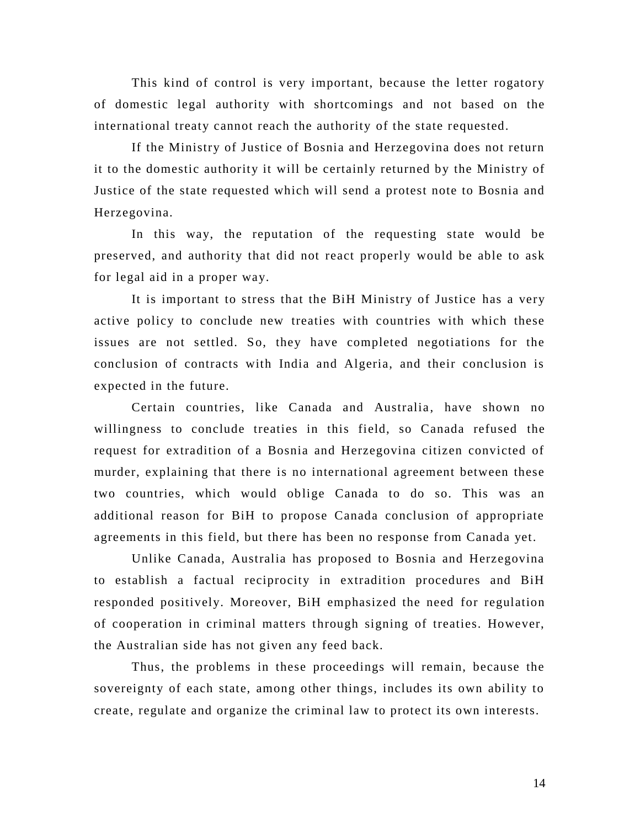This kind of control is very important, because the letter rogatory of domestic legal authority with shortcomings and not based on the international treaty cannot reach the authority of the state requested.

If the Ministry of Justice of Bosnia and Herzegovina does not return it to the domestic authority it will be certainly returned by the Ministry of Justice of the state requested which will send a protest note to Bosnia and Herzegovina.

In this way, the reputation of the requesting state would be preserved, and authority that did not react properly would be able to ask for legal aid in a proper way.

It is important to stress that the BiH Ministry of Justice has a very active policy to conclude new treaties with countries with which these issues are not settled. So, they have completed negotiations for the conclusion of contracts with India and Algeria, and their conclusion is expected in the future.

Certain countries, like Canada and Australia, have shown no willingness to conclude treaties in this field, so Canada refused the request for extradition of a Bosnia and Herzegovina citizen convicted of murder, explaining that there is no international agreement between these two countries, which would oblige Canada to do so. This was an additional reason for BiH to propose Canada conclusion of appropriate agreements in this field, but there has been no response from Canada yet.

Unlike Canada, Australia has proposed to Bosnia and Herzegovina to establish a factual reciprocity in extradition procedures and BiH responded positively. Moreover, BiH emphasized the need for regulation of cooperation in criminal matters through signing of treaties. However, the Australian side has not given any feed back.

Thus, the problems in these proceedings will remain, because the sovereignty of each state, among other things, includes its own ability to create, regulate and organize the criminal law to protect its own interests.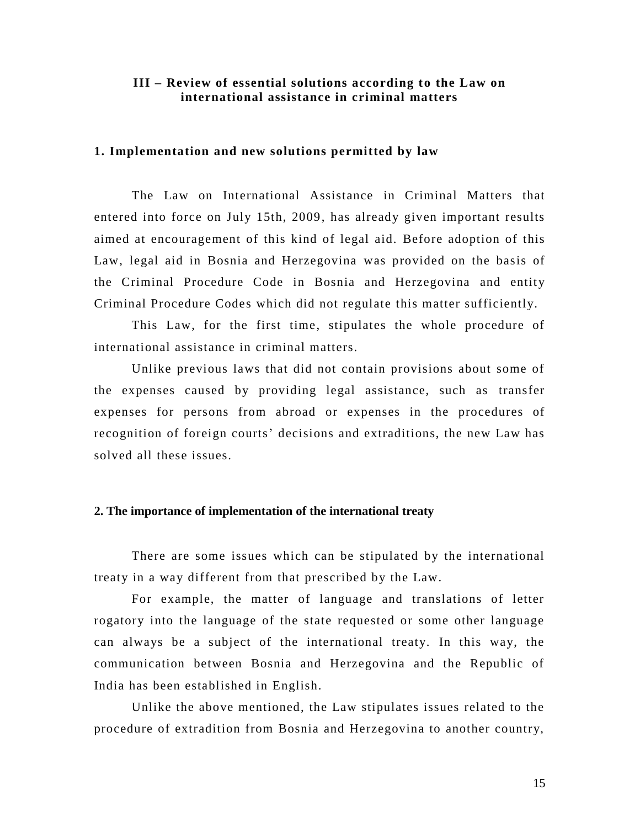#### <span id="page-14-0"></span>**III – Review of essential solutions according to the Law on international assistance in criminal matters**

#### <span id="page-14-1"></span>**1. Implementation and new solutions permitted by law**

The Law on International Assistance in Criminal Matters that entered into force on July 15th, 2009, has already given important results aimed at encouragement of this kind of legal aid. Before adoption of this Law, legal aid in Bosnia and Herzegovina was provided on the basis of the Criminal Procedure Code in Bosnia and Herzegovina and entity Criminal Procedure Codes which did not regulate this matter sufficiently.

This Law, for the first time, stipulates the whole procedure of international assistance in criminal matters.

Unlike previous laws that did not contain provisions about some of the expenses caused by providing legal assistance, such as transfer expenses for persons from abroad or expenses in the procedures of recognition of foreign courts' decisions and extraditions, the new Law has solved all these issues.

#### <span id="page-14-2"></span>**2. The importance of implementation of the international treaty**

There are some issues which can be stipulated by the international treaty in a way different from that prescribed by the Law.

For example, the matter of language and translations of letter rogatory into the language of the state requested or some other language can always be a subject of the international treaty. In this way, the communication between Bosnia and Herzegovina and the Republic of India has been established in English.

Unlike the above mentioned, the Law stipulates issues related to the procedure of extradition from Bosnia and Herzegovina to another country,